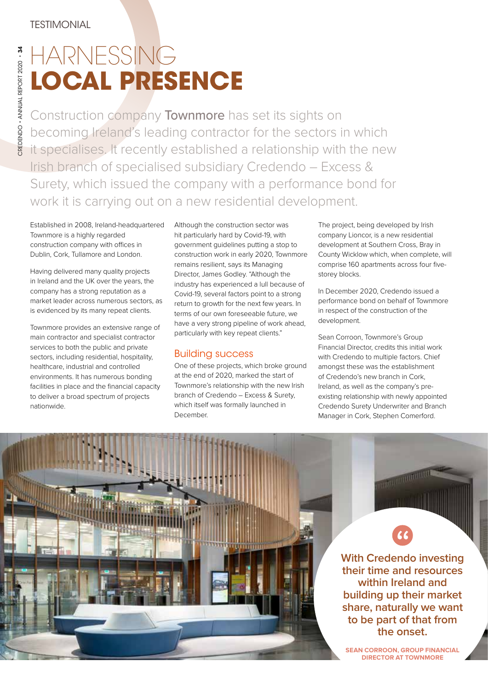REDENDO + ANNUAL REPORT 2020 - 34 CREDENDO • ANNUAL REPORT 2020 • 34

## HARNESSING **LOCAL PRESENCE**

Construction company Townmore has set its sights on becoming Ireland's leading contractor for the sectors in which it specialises. It recently established a relationship with the new Irish branch of specialised subsidiary Credendo – Excess & Surety, which issued the company with a performance bond for work it is carrying out on a new residential development.

Established in 2008, Ireland-headquartered Townmore is a highly regarded construction company with offices in Dublin, Cork, Tullamore and London.

Having delivered many quality projects in Ireland and the UK over the years, the company has a strong reputation as a market leader across numerous sectors, as is evidenced by its many repeat clients.

Townmore provides an extensive range of main contractor and specialist contractor services to both the public and private sectors, including residential, hospitality, healthcare, industrial and controlled environments. It has numerous bonding facilities in place and the financial capacity to deliver a broad spectrum of projects nationwide.

Although the construction sector was hit particularly hard by Covid-19, with government guidelines putting a stop to construction work in early 2020, Townmore remains resilient, says its Managing Director, James Godley. "Although the industry has experienced a lull because of Covid-19, several factors point to a strong return to growth for the next few years. In terms of our own foreseeable future, we have a very strong pipeline of work ahead, particularly with key repeat clients."

## Building success

One of these projects, which broke ground at the end of 2020, marked the start of Townmore's relationship with the new Irish branch of Credendo – Excess & Surety, which itself was formally launched in December.

The project, being developed by Irish company Lioncor, is a new residential development at Southern Cross, Bray in County Wicklow which, when complete, will comprise 160 apartments across four fivestorey blocks.

In December 2020, Credendo issued a performance bond on behalf of Townmore in respect of the construction of the development.

Sean Corroon, Townmore's Group Financial Director, credits this initial work with Credendo to multiple factors. Chief amongst these was the establishment of Credendo's new branch in Cork, Ireland, as well as the company's preexisting relationship with newly appointed Credendo Surety Underwriter and Branch Manager in Cork, Stephen Comerford.

> **With Credendo investing their time and resources within Ireland and building up their market share, naturally we want to be part of that from the onset.**

**COMMUNISTIC** 

**SEAN CORROON, GROUP FINANCIAL DIRECTOR AT TOWNMORE**